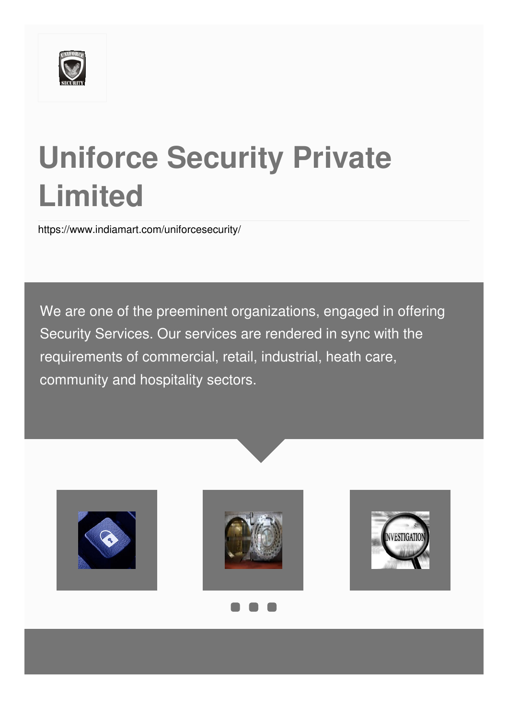

# **Uniforce Security Private Limited**

<https://www.indiamart.com/uniforcesecurity/>

We are one of the preeminent organizations, engaged in offering Security Services. Our services are rendered in sync with the requirements of commercial, retail, industrial, heath care, community and hospitality sectors.





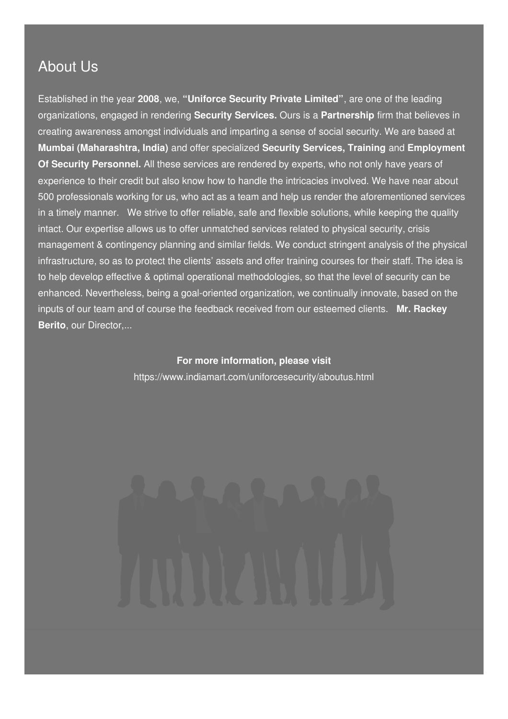### About Us

Established in the year **2008**, we, **"Uniforce Security Private Limited"**, are one of the leading organizations, engaged in rendering **Security Services.** Ours is a **Partnership** firm that believes in creating awareness amongst individuals and imparting a sense of social security. We are based at **Mumbai (Maharashtra, India)** and offer specialized **Security Services, Training** and **Employment Of Security Personnel.** All these services are rendered by experts, who not only have years of experience to their credit but also know how to handle the intricacies involved. We have near about 500 professionals working for us, who act as a team and help us render the aforementioned services in a timely manner. We strive to offer reliable, safe and flexible solutions, while keeping the quality intact. Our expertise allows us to offer unmatched services related to physical security, crisis management & contingency planning and similar fields. We conduct stringent analysis of the physical infrastructure, so as to protect the clients' assets and offer training courses for their staff. The idea is to help develop effective & optimal operational methodologies, so that the level of security can be enhanced. Nevertheless, being a goal-oriented organization, we continually innovate, based on the inputs of our team and of course the feedback received from our esteemed clients. **Mr. Rackey Berito**, our Director,...

> **For more information, please visit** <https://www.indiamart.com/uniforcesecurity/aboutus.html>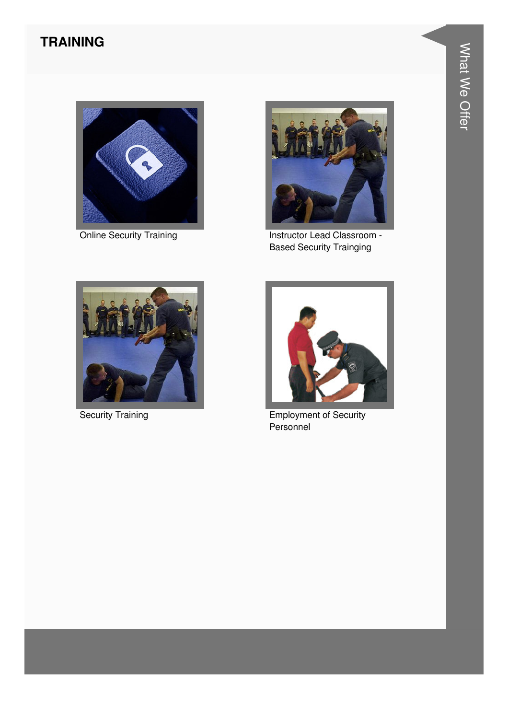#### **TRAINING**





Online Security Training **Instructor Lead Classroom -**Based Security Trainging





Security Training **Employment of Security** Personnel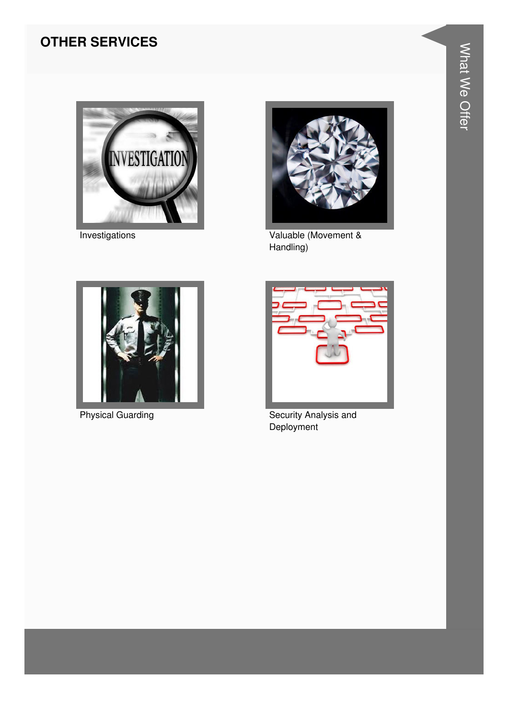#### **OTHER SERVICES**







Investigations **Valuable (Movement &** Handling)



Physical Guarding **Security Analysis and Security Analysis and Deployment**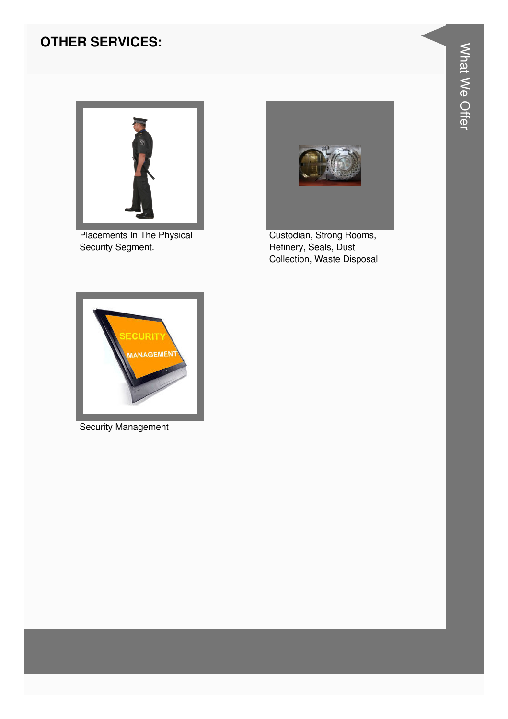#### **OTHER SERVICES:**



Placements In The Physical Security Segment.



Custodian, Strong Rooms, Refinery, Seals, Dust Collection, Waste Disposal



Security Management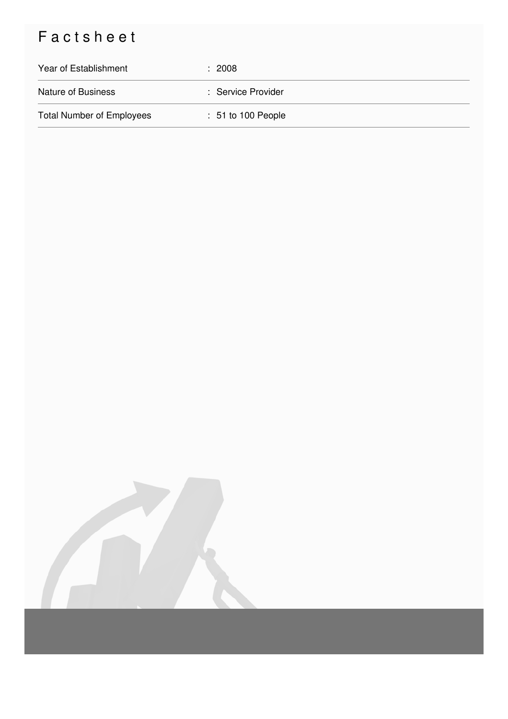## Factsheet

| Year of Establishment            | : 2008               |
|----------------------------------|----------------------|
| <b>Nature of Business</b>        | : Service Provider   |
| <b>Total Number of Employees</b> | $: 51$ to 100 People |